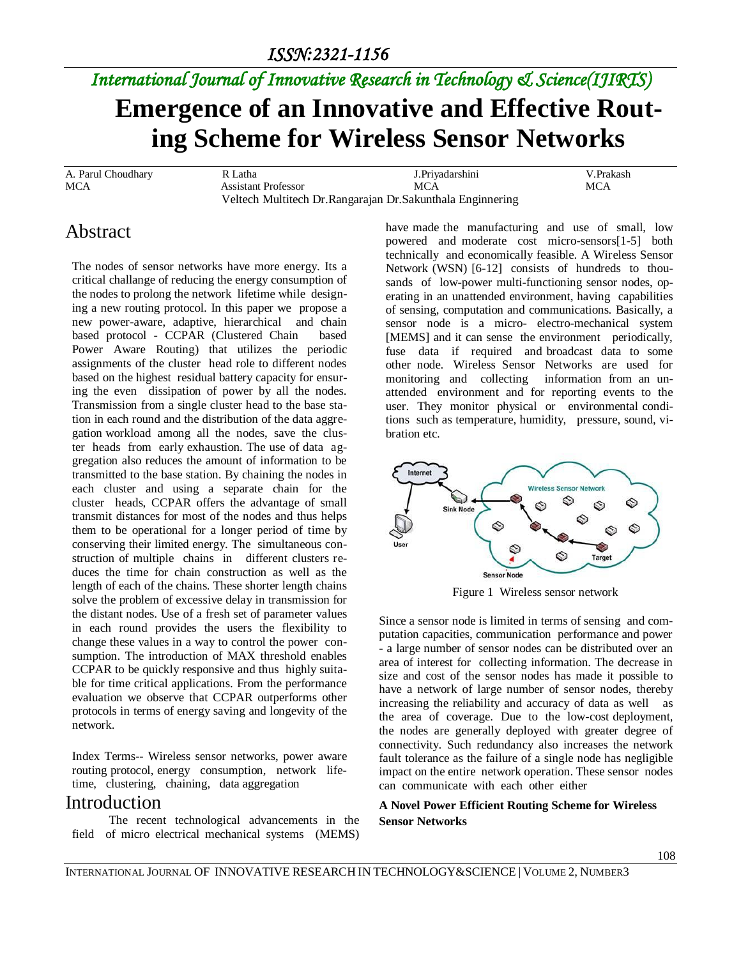# *International Journal of Innovative Research in Technology & Science(IJIRTS)* **Emergence of an Innovative and Effective Routing Scheme for Wireless Sensor Networks**

A. Parul Choudhary R Latha J.Priyadarshini V.Prakash MCA Assistant Professor MCA MCA MCA Veltech Multitech Dr.Rangarajan Dr.Sakunthala Enginnering

### Abstract

The nodes of sensor networks have more energy. Its a critical challange of reducing the energy consumption of the nodes to prolong the network lifetime while designing a new routing protocol. In this paper we propose a new power-aware, adaptive, hierarchical and chain based protocol - CCPAR (Clustered Chain based Power Aware Routing) that utilizes the periodic assignments of the cluster head role to different nodes based on the highest residual battery capacity for ensuring the even dissipation of power by all the nodes. Transmission from a single cluster head to the base station in each round and the distribution of the data aggregation workload among all the nodes, save the cluster heads from early exhaustion. The use of data aggregation also reduces the amount of information to be transmitted to the base station. By chaining the nodes in each cluster and using a separate chain for the cluster heads, CCPAR offers the advantage of small transmit distances for most of the nodes and thus helps them to be operational for a longer period of time by conserving their limited energy. The simultaneous construction of multiple chains in different clusters reduces the time for chain construction as well as the length of each of the chains. These shorter length chains solve the problem of excessive delay in transmission for the distant nodes. Use of a fresh set of parameter values in each round provides the users the flexibility to change these values in a way to control the power consumption. The introduction of MAX threshold enables CCPAR to be quickly responsive and thus highly suitable for time critical applications. From the performance evaluation we observe that CCPAR outperforms other protocols in terms of energy saving and longevity of the network.

Index Terms-- Wireless sensor networks, power aware routing protocol, energy consumption, network lifetime, clustering, chaining, data aggregation

### Introduction

The recent technological advancements in the field of micro electrical mechanical systems (MEMS) have made the manufacturing and use of small, low powered and moderate cost micro-sensors[1-5] both technically and economically feasible. A Wireless Sensor Network (WSN) [6-12] consists of hundreds to thousands of low-power multi-functioning sensor nodes, operating in an unattended environment, having capabilities of sensing, computation and communications. Basically, a sensor node is a micro- electro-mechanical system [MEMS] and it can sense the environment periodically, fuse data if required and broadcast data to some other node. Wireless Sensor Networks are used for monitoring and collecting information from an unattended environment and for reporting events to the user. They monitor physical or environmental conditions such as temperature, humidity, pressure, sound, vibration etc.



Figure 1 Wireless sensor network

Since a sensor node is limited in terms of sensing and computation capacities, communication performance and power - a large number of sensor nodes can be distributed over an area of interest for collecting information. The decrease in size and cost of the sensor nodes has made it possible to have a network of large number of sensor nodes, thereby increasing the reliability and accuracy of data as well as the area of coverage. Due to the low-cost deployment, the nodes are generally deployed with greater degree of connectivity. Such redundancy also increases the network fault tolerance as the failure of a single node has negligible impact on the entire network operation. These sensor nodes can communicate with each other either

**A Novel Power Efficient Routing Scheme for Wireless Sensor Networks**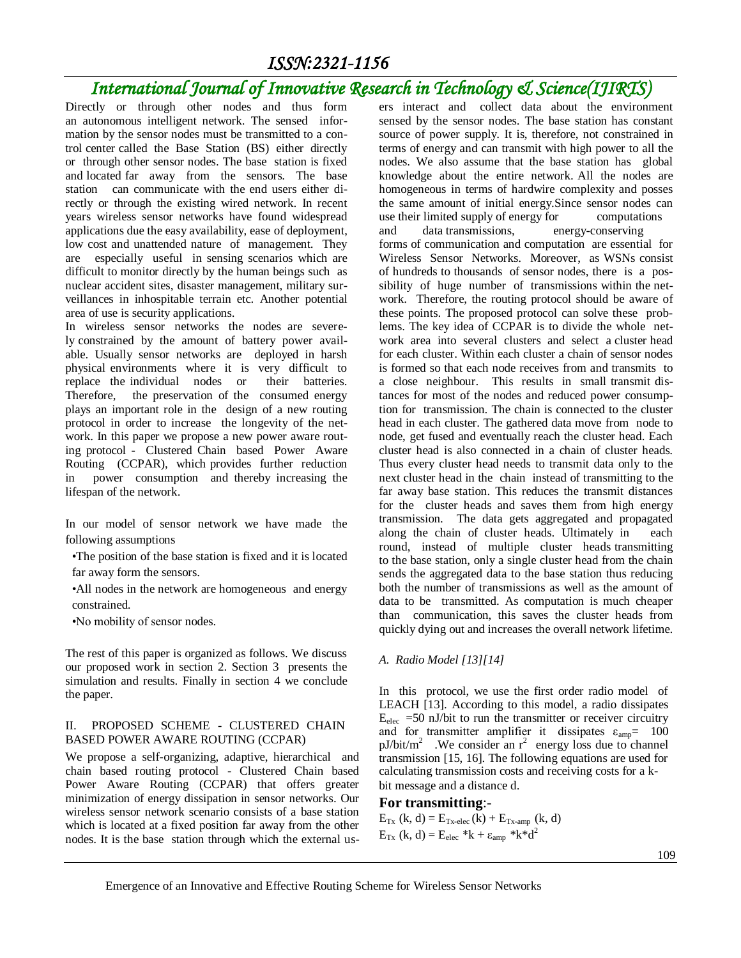## *International Journal of Innovative Research in Technology & Science(IJIRTS)*

Directly or through other nodes and thus form an autonomous intelligent network. The sensed information by the sensor nodes must be transmitted to a control center called the Base Station (BS) either directly or through other sensor nodes. The base station is fixed and located far away from the sensors. The base station can communicate with the end users either directly or through the existing wired network. In recent years wireless sensor networks have found widespread applications due the easy availability, ease of deployment, low cost and unattended nature of management. They are especially useful in sensing scenarios which are difficult to monitor directly by the human beings such as nuclear accident sites, disaster management, military surveillances in inhospitable terrain etc. Another potential area of use is security applications.

In wireless sensor networks the nodes are severely constrained by the amount of battery power available. Usually sensor networks are deployed in harsh physical environments where it is very difficult to replace the individual nodes or their batteries. Therefore, the preservation of the consumed energy plays an important role in the design of a new routing protocol in order to increase the longevity of the network. In this paper we propose a new power aware routing protocol - Clustered Chain based Power Aware Routing (CCPAR), which provides further reduction in power consumption and thereby increasing the lifespan of the network.

In our model of sensor network we have made the following assumptions

•The position of the base station is fixed and it is located far away form the sensors.

•All nodes in the network are homogeneous and energy constrained.

•No mobility of sensor nodes.

The rest of this paper is organized as follows. We discuss our proposed work in section 2. Section 3 presents the simulation and results. Finally in section 4 we conclude the paper.

#### II. PROPOSED SCHEME - CLUSTERED CHAIN BASED POWER AWARE ROUTING (CCPAR)

We propose a self-organizing, adaptive, hierarchical and chain based routing protocol - Clustered Chain based Power Aware Routing (CCPAR) that offers greater minimization of energy dissipation in sensor networks. Our wireless sensor network scenario consists of a base station which is located at a fixed position far away from the other nodes. It is the base station through which the external users interact and collect data about the environment sensed by the sensor nodes. The base station has constant source of power supply. It is, therefore, not constrained in terms of energy and can transmit with high power to all the nodes. We also assume that the base station has global knowledge about the entire network. All the nodes are homogeneous in terms of hardwire complexity and posses the same amount of initial energy.Since sensor nodes can use their limited supply of energy for computations and data transmissions, energy-conserving

forms of communication and computation are essential for Wireless Sensor Networks. Moreover, as WSNs consist of hundreds to thousands of sensor nodes, there is a possibility of huge number of transmissions within the network. Therefore, the routing protocol should be aware of these points. The proposed protocol can solve these problems. The key idea of CCPAR is to divide the whole network area into several clusters and select a cluster head for each cluster. Within each cluster a chain of sensor nodes is formed so that each node receives from and transmits to a close neighbour. This results in small transmit distances for most of the nodes and reduced power consumption for transmission. The chain is connected to the cluster head in each cluster. The gathered data move from node to node, get fused and eventually reach the cluster head. Each cluster head is also connected in a chain of cluster heads. Thus every cluster head needs to transmit data only to the next cluster head in the chain instead of transmitting to the far away base station. This reduces the transmit distances for the cluster heads and saves them from high energy transmission. The data gets aggregated and propagated along the chain of cluster heads. Ultimately in each round, instead of multiple cluster heads transmitting to the base station, only a single cluster head from the chain sends the aggregated data to the base station thus reducing both the number of transmissions as well as the amount of data to be transmitted. As computation is much cheaper than communication, this saves the cluster heads from quickly dying out and increases the overall network lifetime.

#### *A. Radio Model [13][14]*

In this protocol, we use the first order radio model of LEACH [13]. According to this model, a radio dissipates  $E_{elec}$  =50 nJ/bit to run the transmitter or receiver circuitry and for transmitter amplifier it dissipates  $\varepsilon_{\text{amp}} = 100$ pJ/bit/m<sup>2</sup>. We consider an  $r^2$  energy loss due to channel transmission [15, 16]. The following equations are used for calculating transmission costs and receiving costs for a kbit message and a distance d.

#### **For transmitting**:-

 $E_{Tx}$  (k, d) =  $E_{Tx\text{-elec}}$  (k) +  $E_{Tx\text{-amp}}$  (k, d)  $E_{Tx}$  (k, d) =  $E_{elec}$  \*k +  $\varepsilon_{amp}$  \*k\*d<sup>2</sup>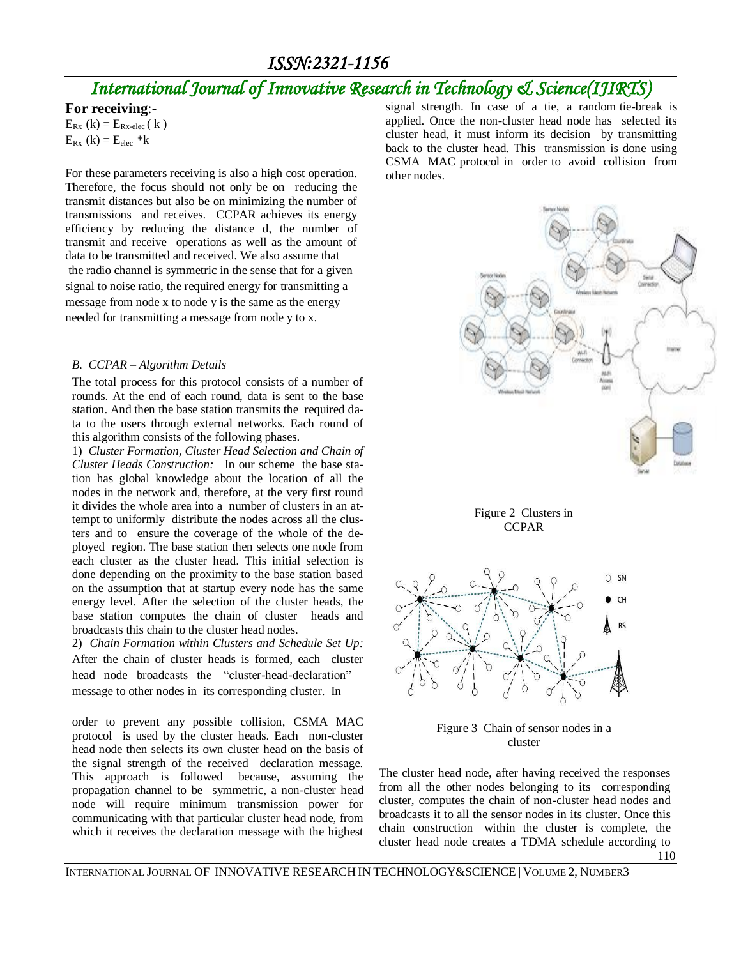## *International Journal of Innovative Research in Technology & Science(IJIRTS)*

#### **For receiving**:-

 $E_{Rx}$  (k) =  $E_{Rx\text{-elec}}$  (k)  $E_{Rx}$  (k) =  $E_{elec}$  \*k

For these parameters receiving is also a high cost operation. Therefore, the focus should not only be on reducing the transmit distances but also be on minimizing the number of transmissions and receives. CCPAR achieves its energy efficiency by reducing the distance d, the number of transmit and receive operations as well as the amount of data to be transmitted and received. We also assume that the radio channel is symmetric in the sense that for a given signal to noise ratio, the required energy for transmitting a message from node x to node y is the same as the energy needed for transmitting a message from node y to x.

#### *B. CCPAR – Algorithm Details*

The total process for this protocol consists of a number of rounds. At the end of each round, data is sent to the base station. And then the base station transmits the required data to the users through external networks. Each round of this algorithm consists of the following phases.

1) *Cluster Formation, Cluster Head Selection and Chain of Cluster Heads Construction:* In our scheme the base station has global knowledge about the location of all the nodes in the network and, therefore, at the very first round it divides the whole area into a number of clusters in an attempt to uniformly distribute the nodes across all the clusters and to ensure the coverage of the whole of the deployed region. The base station then selects one node from each cluster as the cluster head. This initial selection is done depending on the proximity to the base station based on the assumption that at startup every node has the same energy level. After the selection of the cluster heads, the base station computes the chain of cluster heads and broadcasts this chain to the cluster head nodes.

2) *Chain Formation within Clusters and Schedule Set Up:*  After the chain of cluster heads is formed, each cluster head node broadcasts the "cluster-head-declaration" message to other nodes in its corresponding cluster. In

order to prevent any possible collision, CSMA MAC protocol is used by the cluster heads. Each non-cluster head node then selects its own cluster head on the basis of the signal strength of the received declaration message. This approach is followed because, assuming the propagation channel to be symmetric, a non-cluster head node will require minimum transmission power for communicating with that particular cluster head node, from which it receives the declaration message with the highest

signal strength. In case of a tie, a random tie-break is applied. Once the non-cluster head node has selected its cluster head, it must inform its decision by transmitting back to the cluster head. This transmission is done using CSMA MAC protocol in order to avoid collision from other nodes.









The cluster head node, after having received the responses from all the other nodes belonging to its corresponding cluster, computes the chain of non-cluster head nodes and broadcasts it to all the sensor nodes in its cluster. Once this chain construction within the cluster is complete, the cluster head node creates a TDMA schedule according to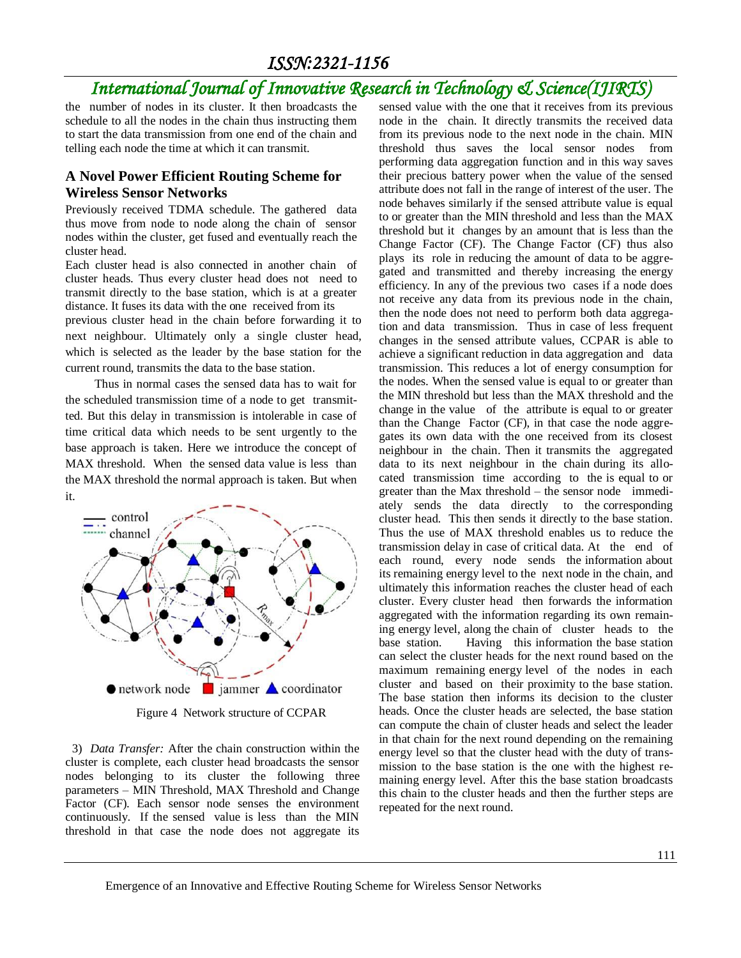## *International Journal of Innovative Research in Technology & Science(IJIRTS)*

the number of nodes in its cluster. It then broadcasts the schedule to all the nodes in the chain thus instructing them to start the data transmission from one end of the chain and telling each node the time at which it can transmit.

#### **A Novel Power Efficient Routing Scheme for Wireless Sensor Networks**

Previously received TDMA schedule. The gathered data thus move from node to node along the chain of sensor nodes within the cluster, get fused and eventually reach the cluster head.

Each cluster head is also connected in another chain of cluster heads. Thus every cluster head does not need to transmit directly to the base station, which is at a greater distance. It fuses its data with the one received from its

previous cluster head in the chain before forwarding it to next neighbour. Ultimately only a single cluster head, which is selected as the leader by the base station for the current round, transmits the data to the base station.

Thus in normal cases the sensed data has to wait for the scheduled transmission time of a node to get transmitted. But this delay in transmission is intolerable in case of time critical data which needs to be sent urgently to the base approach is taken. Here we introduce the concept of MAX threshold. When the sensed data value is less than the MAX threshold the normal approach is taken. But when it.



Figure 4 Network structure of CCPAR

3) *Data Transfer:* After the chain construction within the cluster is complete, each cluster head broadcasts the sensor nodes belonging to its cluster the following three parameters – MIN Threshold, MAX Threshold and Change Factor (CF). Each sensor node senses the environment continuously. If the sensed value is less than the MIN threshold in that case the node does not aggregate its

sensed value with the one that it receives from its previous node in the chain. It directly transmits the received data from its previous node to the next node in the chain. MIN threshold thus saves the local sensor nodes from performing data aggregation function and in this way saves their precious battery power when the value of the sensed attribute does not fall in the range of interest of the user. The node behaves similarly if the sensed attribute value is equal to or greater than the MIN threshold and less than the MAX threshold but it changes by an amount that is less than the Change Factor (CF). The Change Factor (CF) thus also plays its role in reducing the amount of data to be aggregated and transmitted and thereby increasing the energy efficiency. In any of the previous two cases if a node does not receive any data from its previous node in the chain, then the node does not need to perform both data aggregation and data transmission. Thus in case of less frequent changes in the sensed attribute values, CCPAR is able to achieve a significant reduction in data aggregation and data transmission. This reduces a lot of energy consumption for the nodes. When the sensed value is equal to or greater than the MIN threshold but less than the MAX threshold and the change in the value of the attribute is equal to or greater than the Change Factor (CF), in that case the node aggregates its own data with the one received from its closest neighbour in the chain. Then it transmits the aggregated data to its next neighbour in the chain during its allocated transmission time according to the is equal to or greater than the Max threshold – the sensor node immediately sends the data directly to the corresponding cluster head. This then sends it directly to the base station. Thus the use of MAX threshold enables us to reduce the transmission delay in case of critical data. At the end of each round, every node sends the information about its remaining energy level to the next node in the chain, and ultimately this information reaches the cluster head of each cluster. Every cluster head then forwards the information aggregated with the information regarding its own remaining energy level, along the chain of cluster heads to the base station. Having this information the base station can select the cluster heads for the next round based on the maximum remaining energy level of the nodes in each cluster and based on their proximity to the base station. The base station then informs its decision to the cluster heads. Once the cluster heads are selected, the base station can compute the chain of cluster heads and select the leader in that chain for the next round depending on the remaining energy level so that the cluster head with the duty of transmission to the base station is the one with the highest remaining energy level. After this the base station broadcasts this chain to the cluster heads and then the further steps are repeated for the next round.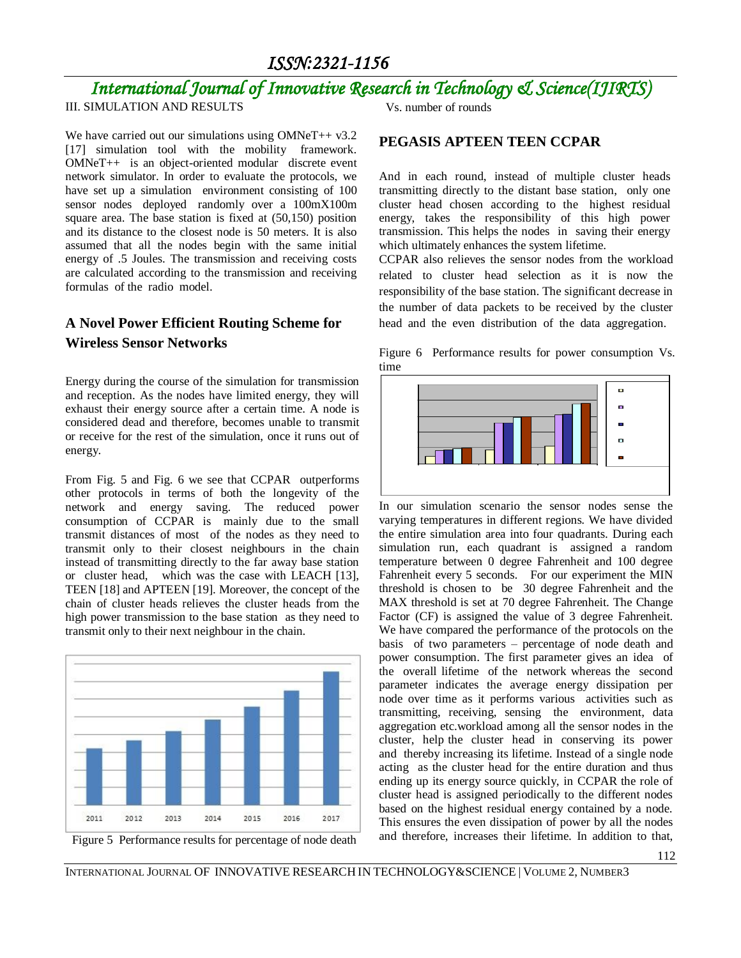## *International Journal of Innovative Research in Technology & Science(IJIRTS)*

III. SIMULATION AND RESULTS

We have carried out our simulations using  $OMNeT++ v3.2$ [17] simulation tool with the mobility framework. OMNeT++ is an object-oriented modular discrete event network simulator. In order to evaluate the protocols, we have set up a simulation environment consisting of 100 sensor nodes deployed randomly over a 100mX100m square area. The base station is fixed at (50,150) position and its distance to the closest node is 50 meters. It is also assumed that all the nodes begin with the same initial energy of .5 Joules. The transmission and receiving costs are calculated according to the transmission and receiving formulas of the radio model.

### **A Novel Power Efficient Routing Scheme for Wireless Sensor Networks**

Energy during the course of the simulation for transmission and reception. As the nodes have limited energy, they will exhaust their energy source after a certain time. A node is considered dead and therefore, becomes unable to transmit or receive for the rest of the simulation, once it runs out of energy.

From Fig. 5 and Fig. 6 we see that CCPAR outperforms other protocols in terms of both the longevity of the network and energy saving. The reduced power consumption of CCPAR is mainly due to the small transmit distances of most of the nodes as they need to transmit only to their closest neighbours in the chain instead of transmitting directly to the far away base station or cluster head, which was the case with LEACH [13], TEEN [18] and APTEEN [19]. Moreover, the concept of the chain of cluster heads relieves the cluster heads from the high power transmission to the base station as they need to transmit only to their next neighbour in the chain.





Vs. number of rounds

#### **PEGASIS APTEEN TEEN CCPAR**

And in each round, instead of multiple cluster heads transmitting directly to the distant base station, only one cluster head chosen according to the highest residual energy, takes the responsibility of this high power transmission. This helps the nodes in saving their energy which ultimately enhances the system lifetime.

CCPAR also relieves the sensor nodes from the workload related to cluster head selection as it is now the responsibility of the base station. The significant decrease in the number of data packets to be received by the cluster head and the even distribution of the data aggregation.

Figure 6 Performance results for power consumption Vs. time



In our simulation scenario the sensor nodes sense the varying temperatures in different regions. We have divided the entire simulation area into four quadrants. During each simulation run, each quadrant is assigned a random temperature between 0 degree Fahrenheit and 100 degree Fahrenheit every 5 seconds. For our experiment the MIN threshold is chosen to be 30 degree Fahrenheit and the MAX threshold is set at 70 degree Fahrenheit. The Change Factor (CF) is assigned the value of 3 degree Fahrenheit. We have compared the performance of the protocols on the basis of two parameters – percentage of node death and power consumption. The first parameter gives an idea of the overall lifetime of the network whereas the second parameter indicates the average energy dissipation per node over time as it performs various activities such as transmitting, receiving, sensing the environment, data aggregation etc.workload among all the sensor nodes in the cluster, help the cluster head in conserving its power and thereby increasing its lifetime. Instead of a single node acting as the cluster head for the entire duration and thus ending up its energy source quickly, in CCPAR the role of cluster head is assigned periodically to the different nodes based on the highest residual energy contained by a node. This ensures the even dissipation of power by all the nodes and therefore, increases their lifetime. In addition to that,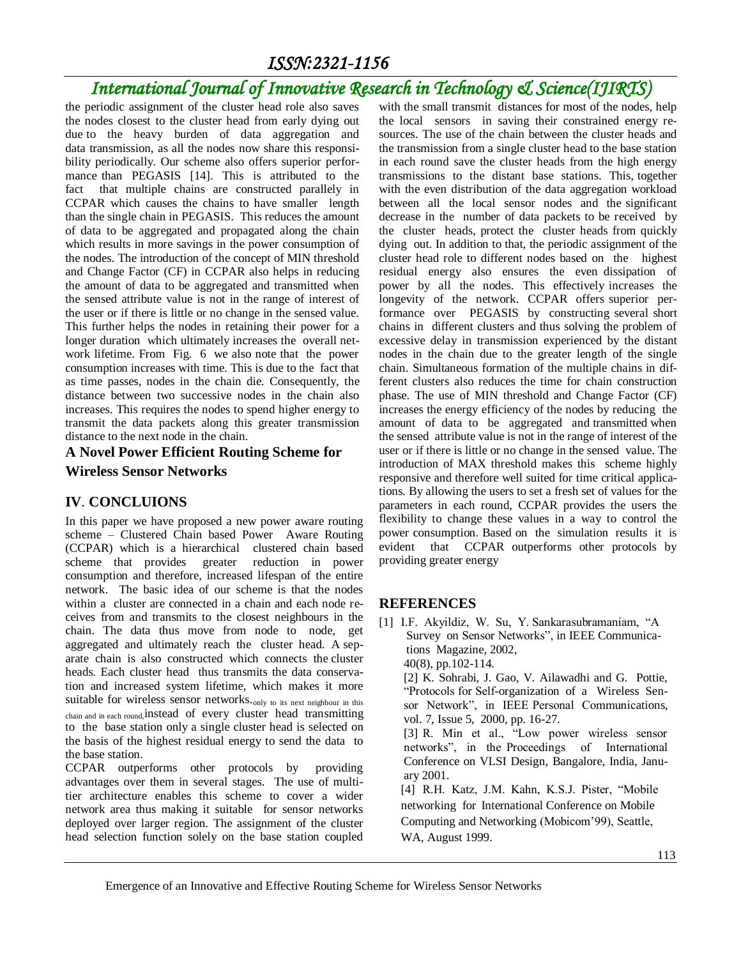## *International Journal of Innovative Research in Technology & Science(IJIRTS)*

the periodic assignment of the cluster head role also saves the nodes closest to the cluster head from early dying out due to the heavy burden of data aggregation and data transmission, as all the nodes now share this responsibility periodically. Our scheme also offers superior performance than PEGASIS [14]. This is attributed to the fact that multiple chains are constructed parallely in CCPAR which causes the chains to have smaller length than the single chain in PEGASIS. This reduces the amount of data to be aggregated and propagated along the chain which results in more savings in the power consumption of the nodes. The introduction of the concept of MIN threshold and Change Factor (CF) in CCPAR also helps in reducing the amount of data to be aggregated and transmitted when the sensed attribute value is not in the range of interest of the user or if there is little or no change in the sensed value. This further helps the nodes in retaining their power for a longer duration which ultimately increases the overall network lifetime. From Fig. 6 we also note that the power consumption increases with time. This is due to the fact that as time passes, nodes in the chain die. Consequently, the distance between two successive nodes in the chain also increases. This requires the nodes to spend higher energy to transmit the data packets along this greater transmission distance to the next node in the chain.

### **A Novel Power Efficient Routing Scheme for Wireless Sensor Networks**

### **IV**. **CONCLUIONS**

In this paper we have proposed a new power aware routing scheme – Clustered Chain based Power Aware Routing (CCPAR) which is a hierarchical clustered chain based scheme that provides greater reduction in power consumption and therefore, increased lifespan of the entire network. The basic idea of our scheme is that the nodes within a cluster are connected in a chain and each node receives from and transmits to the closest neighbours in the chain. The data thus move from node to node, get aggregated and ultimately reach the cluster head. A separate chain is also constructed which connects the cluster heads. Each cluster head thus transmits the data conservation and increased system lifetime, which makes it more suitable for wireless sensor networks.<sub>only to its next neighbour in this</sub> chain and in each round, instead of every cluster head transmitting to the base station only a single cluster head is selected on the basis of the highest residual energy to send the data to the base station.

CCPAR outperforms other protocols by providing advantages over them in several stages. The use of multitier architecture enables this scheme to cover a wider network area thus making it suitable for sensor networks deployed over larger region. The assignment of the cluster head selection function solely on the base station coupled

with the small transmit distances for most of the nodes, help the local sensors in saving their constrained energy resources. The use of the chain between the cluster heads and the transmission from a single cluster head to the base station in each round save the cluster heads from the high energy transmissions to the distant base stations. This, together with the even distribution of the data aggregation workload between all the local sensor nodes and the significant decrease in the number of data packets to be received by the cluster heads, protect the cluster heads from quickly dying out. In addition to that, the periodic assignment of the cluster head role to different nodes based on the highest residual energy also ensures the even dissipation of power by all the nodes. This effectively increases the longevity of the network. CCPAR offers superior performance over PEGASIS by constructing several short chains in different clusters and thus solving the problem of excessive delay in transmission experienced by the distant nodes in the chain due to the greater length of the single chain. Simultaneous formation of the multiple chains in different clusters also reduces the time for chain construction phase. The use of MIN threshold and Change Factor (CF) increases the energy efficiency of the nodes by reducing the amount of data to be aggregated and transmitted when the sensed attribute value is not in the range of interest of the user or if there is little or no change in the sensed value. The introduction of MAX threshold makes this scheme highly responsive and therefore well suited for time critical applications. By allowing the users to set a fresh set of values for the parameters in each round, CCPAR provides the users the flexibility to change these values in a way to control the power consumption. Based on the simulation results it is evident that CCPAR outperforms other protocols by providing greater energy

#### **REFERENCES**

[1] I.F. Akyildiz, W. Su, Y. Sankarasubramaniam, "A Survey on Sensor Networks", in IEEE Communications Magazine, 2002, 40(8), pp.102-114. [2] K. Sohrabi, J. Gao, V. Ailawadhi and G. Pottie,

"Protocols for Self-organization of a Wireless Sensor Network", in IEEE Personal Communications, vol. 7, Issue 5, 2000, pp. 16-27.

[3] R. Min et al., "Low power wireless sensor networks", in the Proceedings of International Conference on VLSI Design, Bangalore, India, January 2001.

[4] R.H. Katz, J.M. Kahn, K.S.J. Pister, "Mobile networking for International Conference on Mobile Computing and Networking (Mobicom'99), Seattle, WA, August 1999.